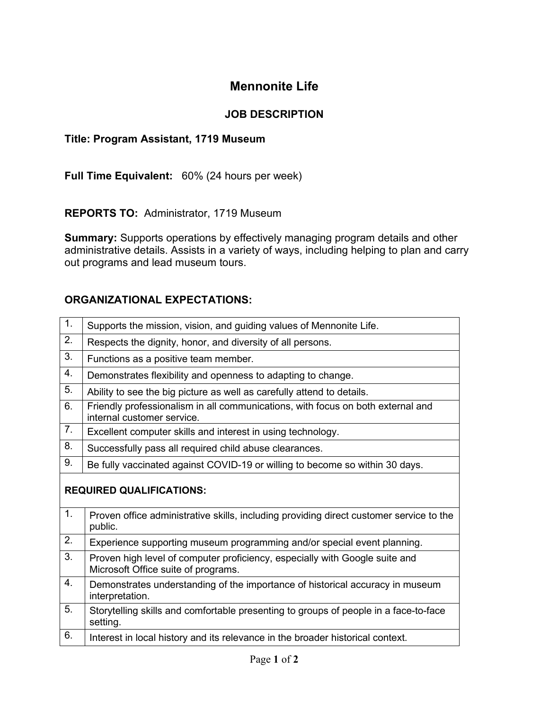## **Mennonite Life**

## **JOB DESCRIPTION**

## **Title: Program Assistant, 1719 Museum**

**Full Time Equivalent:** 60% (24 hours per week)

**REPORTS TO:** Administrator, 1719 Museum

**Summary:** Supports operations by effectively managing program details and other administrative details. Assists in a variety of ways, including helping to plan and carry out programs and lead museum tours.

## **ORGANIZATIONAL EXPECTATIONS:**

| $\overline{1}$ .                | Supports the mission, vision, and guiding values of Mennonite Life.                                                |
|---------------------------------|--------------------------------------------------------------------------------------------------------------------|
| 2.                              | Respects the dignity, honor, and diversity of all persons.                                                         |
| 3.                              | Functions as a positive team member.                                                                               |
| 4.                              | Demonstrates flexibility and openness to adapting to change.                                                       |
| 5.                              | Ability to see the big picture as well as carefully attend to details.                                             |
| 6.                              | Friendly professionalism in all communications, with focus on both external and<br>internal customer service.      |
| 7.                              | Excellent computer skills and interest in using technology.                                                        |
| 8.                              | Successfully pass all required child abuse clearances.                                                             |
| 9.                              | Be fully vaccinated against COVID-19 or willing to become so within 30 days.                                       |
| <b>REQUIRED QUALIFICATIONS:</b> |                                                                                                                    |
| 1.                              | Proven office administrative skills, including providing direct customer service to the<br>public.                 |
| 2.                              | Experience supporting museum programming and/or special event planning.                                            |
| 3.                              | Proven high level of computer proficiency, especially with Google suite and<br>Microsoft Office suite of programs. |
| 4.                              | Demonstrates understanding of the importance of historical accuracy in museum<br>interpretation.                   |
| 5.                              | Storytelling skills and comfortable presenting to groups of people in a face-to-face<br>setting.                   |
| 6.                              | Interest in local history and its relevance in the broader historical context.                                     |
|                                 |                                                                                                                    |